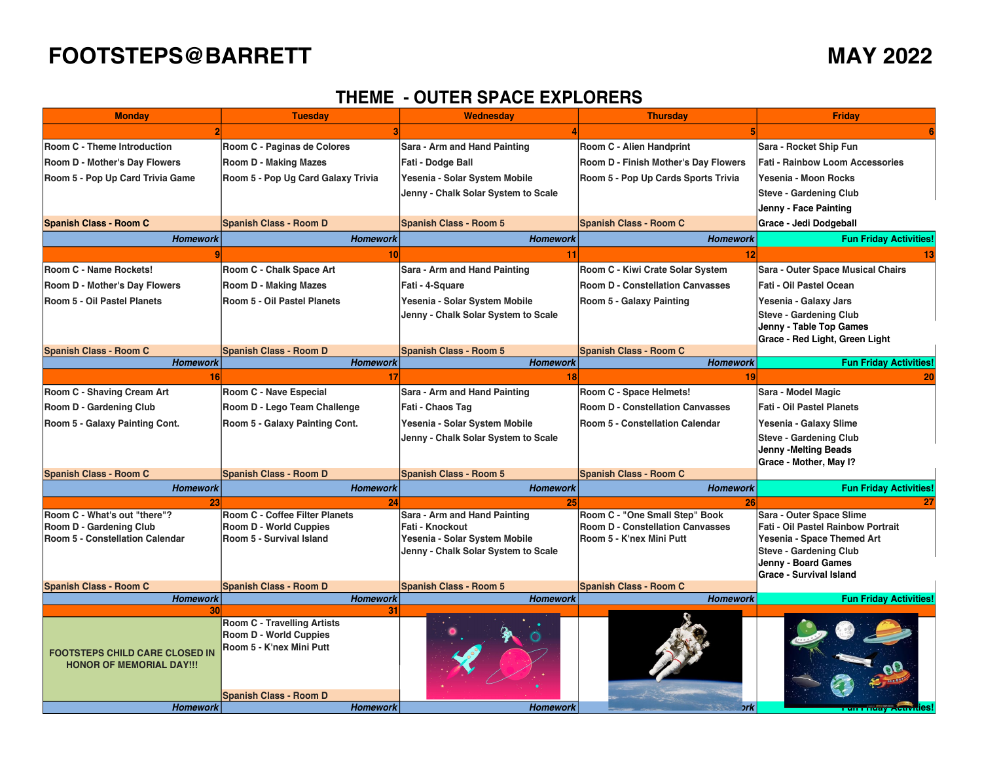## **FOOTSTEPS@BARRETT MAY 2022**

## **THEME - OUTER SPACE EXPLORERS**

| <b>Monday</b>                          | <b>Tuesday</b>                                            | Wednesday                           | <b>Thursday</b>                         | Friday                                                |
|----------------------------------------|-----------------------------------------------------------|-------------------------------------|-----------------------------------------|-------------------------------------------------------|
|                                        |                                                           |                                     |                                         |                                                       |
| Room C - Theme Introduction            | Room C - Paginas de Colores                               | Sara - Arm and Hand Painting        | Room C - Alien Handprint                | Sara - Rocket Ship Fun                                |
| Room D - Mother's Day Flowers          | <b>Room D - Making Mazes</b>                              | Fati - Dodge Ball                   | Room D - Finish Mother's Day Flowers    | <b>Fati - Rainbow Loom Accessories</b>                |
| Room 5 - Pop Up Card Trivia Game       | Room 5 - Pop Ug Card Galaxy Trivia                        | Yesenia - Solar System Mobile       | Room 5 - Pop Up Cards Sports Trivia     | Yesenia - Moon Rocks                                  |
|                                        |                                                           | Jenny - Chalk Solar System to Scale |                                         | <b>Steve - Gardening Club</b>                         |
|                                        |                                                           |                                     |                                         | Jenny - Face Painting                                 |
| <b>Spanish Class - Room C</b>          | <b>Spanish Class - Room D</b>                             | Spanish Class - Room 5              | <b>Spanish Class - Room C</b>           | Grace - Jedi Dodgeball                                |
| <b>Homework</b>                        | <b>Homework</b>                                           | <b>Homework</b>                     | <b>Homework</b>                         | <b>Fun Friday Activities!</b>                         |
|                                        | 10                                                        | 11                                  | 12                                      |                                                       |
| Room C - Name Rockets!                 | Room C - Chalk Space Art                                  | Sara - Arm and Hand Painting        | Room C - Kiwi Crate Solar System        | <b>Sara - Outer Space Musical Chairs</b>              |
| Room D - Mother's Day Flowers          | <b>Room D - Making Mazes</b>                              | Fati - 4-Square                     | <b>Room D - Constellation Canvasses</b> | Fati - Oil Pastel Ocean                               |
| Room 5 - Oil Pastel Planets            | Room 5 - Oil Pastel Planets                               | Yesenia - Solar System Mobile       | Room 5 - Galaxy Painting                | Yesenia - Galaxy Jars                                 |
|                                        |                                                           | Jenny - Chalk Solar System to Scale |                                         | <b>Steve - Gardening Club</b>                         |
|                                        |                                                           |                                     |                                         | Jenny - Table Top Games                               |
| <b>Spanish Class - Room C</b>          | <b>Spanish Class - Room D</b>                             | <b>Spanish Class - Room 5</b>       | <b>Spanish Class - Room C</b>           | Grace - Red Light, Green Light                        |
| <b>Homework</b>                        | <b>Homework</b>                                           | <b>Homework</b>                     | <b>Homework</b>                         | <b>Fun Friday Activities!</b>                         |
| 16 <sup>1</sup>                        | 17                                                        | 18                                  | 19                                      | 20                                                    |
| Room C - Shaving Cream Art             | Room C - Nave Especial                                    | Sara - Arm and Hand Painting        | Room C - Space Helmets!                 | Sara - Model Magic                                    |
| Room D - Gardening Club                | Room D - Lego Team Challenge                              | Fati - Chaos Tag                    | <b>Room D - Constellation Canvasses</b> | <b>Fati - Oil Pastel Planets</b>                      |
| Room 5 - Galaxy Painting Cont.         | Room 5 - Galaxy Painting Cont.                            | Yesenia - Solar System Mobile       | Room 5 - Constellation Calendar         | Yesenia - Galaxy Slime                                |
|                                        |                                                           | Jenny - Chalk Solar System to Scale |                                         | <b>Steve - Gardening Club</b>                         |
|                                        |                                                           |                                     |                                         | Jenny -Melting Beads                                  |
|                                        |                                                           |                                     |                                         | Grace - Mother, May I?                                |
| <b>Spanish Class - Room C</b>          | <b>Spanish Class - Room D</b>                             | <b>Spanish Class - Room 5</b>       | <b>Spanish Class - Room C</b>           |                                                       |
| <b>Homework</b>                        | <b>Homework</b>                                           | <b>Homework</b>                     | <b>Homework</b>                         | <b>Fun Friday Activities!</b>                         |
| 23<br>Room C - What's out "there"?     | 24<br><b>Room C - Coffee Filter Planets</b>               | 25<br>Sara - Arm and Hand Painting  | 26<br>Room C - "One Small Step" Book    | Sara - Outer Space Slime                              |
| Room D - Gardening Club                | <b>Room D - World Cuppies</b>                             | Fati - Knockout                     | <b>Room D - Constellation Canvasses</b> | <b>Fati - Oil Pastel Rainbow Portrait</b>             |
| <b>Room 5 - Constellation Calendar</b> | Room 5 - Survival Island                                  | Yesenia - Solar System Mobile       | Room 5 - K'nex Mini Putt                | Yesenia - Space Themed Art                            |
|                                        |                                                           | Jenny - Chalk Solar System to Scale |                                         | <b>Steve - Gardening Club</b>                         |
|                                        |                                                           |                                     |                                         | Jenny - Board Games<br><b>Grace - Survival Island</b> |
| <b>Spanish Class - Room C</b>          | <b>Spanish Class - Room D</b>                             | <b>Spanish Class - Room 5</b>       | <b>Spanish Class - Room C</b>           |                                                       |
| <b>Homework</b>                        | <b>Homework</b>                                           | <b>Homework</b>                     | <b>Homework</b>                         | <b>Fun Friday Activities!</b>                         |
| 30                                     | 31                                                        |                                     |                                         |                                                       |
|                                        | <b>Room C - Travelling Artists</b>                        |                                     |                                         |                                                       |
|                                        | <b>Room D - World Cuppies</b><br>Room 5 - K'nex Mini Putt |                                     |                                         |                                                       |
| <b>FOOTSTEPS CHILD CARE CLOSED IN</b>  |                                                           |                                     |                                         |                                                       |
| <b>HONOR OF MEMORIAL DAY!!!</b>        |                                                           |                                     |                                         |                                                       |
|                                        |                                                           |                                     |                                         |                                                       |
|                                        | Spanish Class - Room D                                    |                                     |                                         |                                                       |
| <b>Homework</b>                        | <b>Homework</b>                                           | <b>Homework</b>                     | ork.                                    | <b>ur Friuav AvuvuleS</b> I                           |